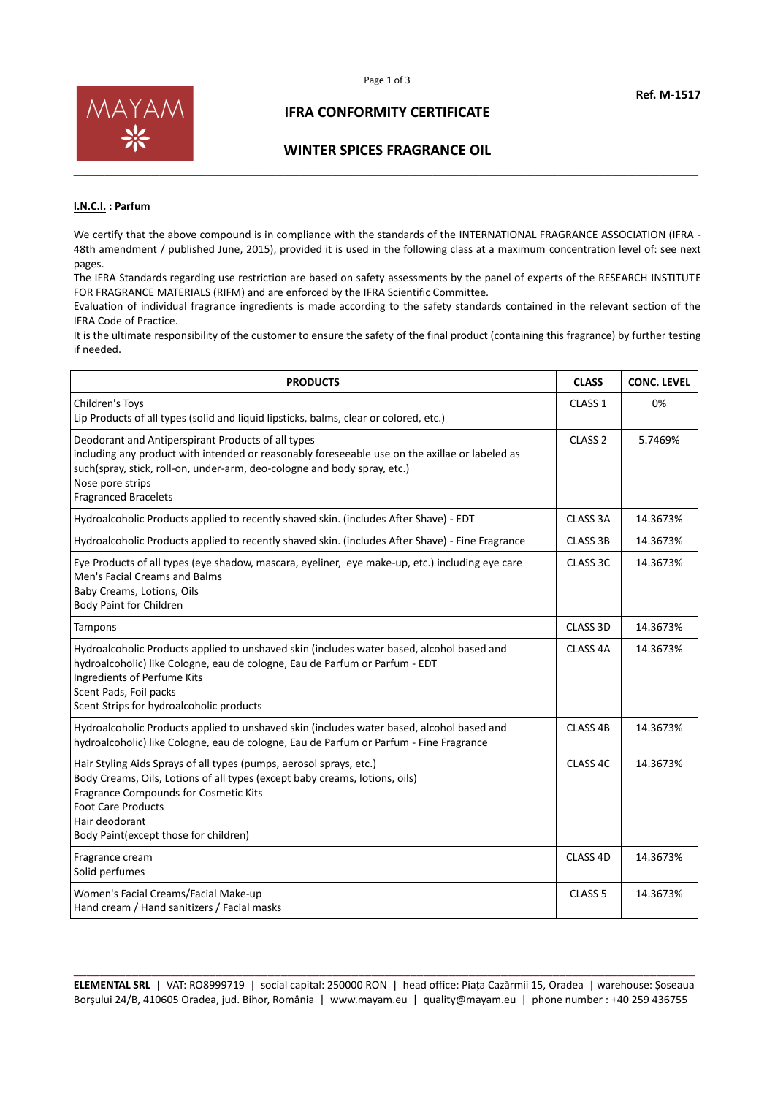

### **IFRA CONFORMITY CERTIFICATE**

#### **WINTER SPICES FRAGRANCE OIL**

#### **I.N.C.I. : Parfum**

We certify that the above compound is in compliance with the standards of the INTERNATIONAL FRAGRANCE ASSOCIATION (IFRA -48th amendment / published June, 2015), provided it is used in the following class at a maximum concentration level of: see next pages.

The IFRA Standards regarding use restriction are based on safety assessments by the panel of experts of the RESEARCH INSTITUTE FOR FRAGRANCE MATERIALS (RIFM) and are enforced by the IFRA Scientific Committee.

Evaluation of individual fragrance ingredients is made according to the safety standards contained in the relevant section of the IFRA Code of Practice.

It is the ultimate responsibility of the customer to ensure the safety of the final product (containing this fragrance) by further testing if needed.

| <b>PRODUCTS</b>                                                                                                                                                                                                                                                                      | <b>CLASS</b>        | <b>CONC. LEVEL</b> |
|--------------------------------------------------------------------------------------------------------------------------------------------------------------------------------------------------------------------------------------------------------------------------------------|---------------------|--------------------|
| Children's Toys<br>Lip Products of all types (solid and liquid lipsticks, balms, clear or colored, etc.)                                                                                                                                                                             | CLASS <sub>1</sub>  | 0%                 |
| Deodorant and Antiperspirant Products of all types<br>including any product with intended or reasonably foreseeable use on the axillae or labeled as<br>such(spray, stick, roll-on, under-arm, deo-cologne and body spray, etc.)<br>Nose pore strips<br><b>Fragranced Bracelets</b>  | CLASS <sub>2</sub>  | 5.7469%            |
| Hydroalcoholic Products applied to recently shaved skin. (includes After Shave) - EDT                                                                                                                                                                                                | <b>CLASS 3A</b>     | 14.3673%           |
| Hydroalcoholic Products applied to recently shaved skin. (includes After Shave) - Fine Fragrance                                                                                                                                                                                     | <b>CLASS 3B</b>     | 14.3673%           |
| Eye Products of all types (eye shadow, mascara, eyeliner, eye make-up, etc.) including eye care<br>Men's Facial Creams and Balms<br>Baby Creams, Lotions, Oils<br>Body Paint for Children                                                                                            | CLASS 3C            | 14.3673%           |
| Tampons                                                                                                                                                                                                                                                                              | CLASS 3D            | 14.3673%           |
| Hydroalcoholic Products applied to unshaved skin (includes water based, alcohol based and<br>hydroalcoholic) like Cologne, eau de cologne, Eau de Parfum or Parfum - EDT<br>Ingredients of Perfume Kits<br>Scent Pads, Foil packs<br>Scent Strips for hydroalcoholic products        | CLASS <sub>4A</sub> | 14.3673%           |
| Hydroalcoholic Products applied to unshaved skin (includes water based, alcohol based and<br>hydroalcoholic) like Cologne, eau de cologne, Eau de Parfum or Parfum - Fine Fragrance                                                                                                  | CLASS <sub>4B</sub> | 14.3673%           |
| Hair Styling Aids Sprays of all types (pumps, aerosol sprays, etc.)<br>Body Creams, Oils, Lotions of all types (except baby creams, lotions, oils)<br>Fragrance Compounds for Cosmetic Kits<br><b>Foot Care Products</b><br>Hair deodorant<br>Body Paint (except those for children) | CLASS <sub>4C</sub> | 14.3673%           |
| Fragrance cream<br>Solid perfumes                                                                                                                                                                                                                                                    | CLASS 4D            | 14.3673%           |
| Women's Facial Creams/Facial Make-up<br>Hand cream / Hand sanitizers / Facial masks                                                                                                                                                                                                  | CLASS <sub>5</sub>  | 14.3673%           |

**\_\_\_\_\_\_\_\_\_\_\_\_\_\_\_\_\_\_\_\_\_\_\_\_\_\_\_\_\_\_\_\_\_\_\_\_\_\_\_\_\_\_\_\_\_\_\_\_\_\_\_\_\_\_\_\_\_\_\_\_\_\_\_\_\_\_\_\_\_\_\_\_\_\_\_\_\_\_\_\_\_\_\_\_\_\_\_\_\_\_\_\_\_\_\_\_ ELEMENTAL SRL** | VAT: RO8999719 | social capital: 250000 RON | head office: Piața Cazărmii 15, Oradea | warehouse: Șoseaua Borșului 24/B, 410605 Oradea, jud. Bihor, România | www.mayam.eu | quality@mayam.eu | phone number : +40 259 436755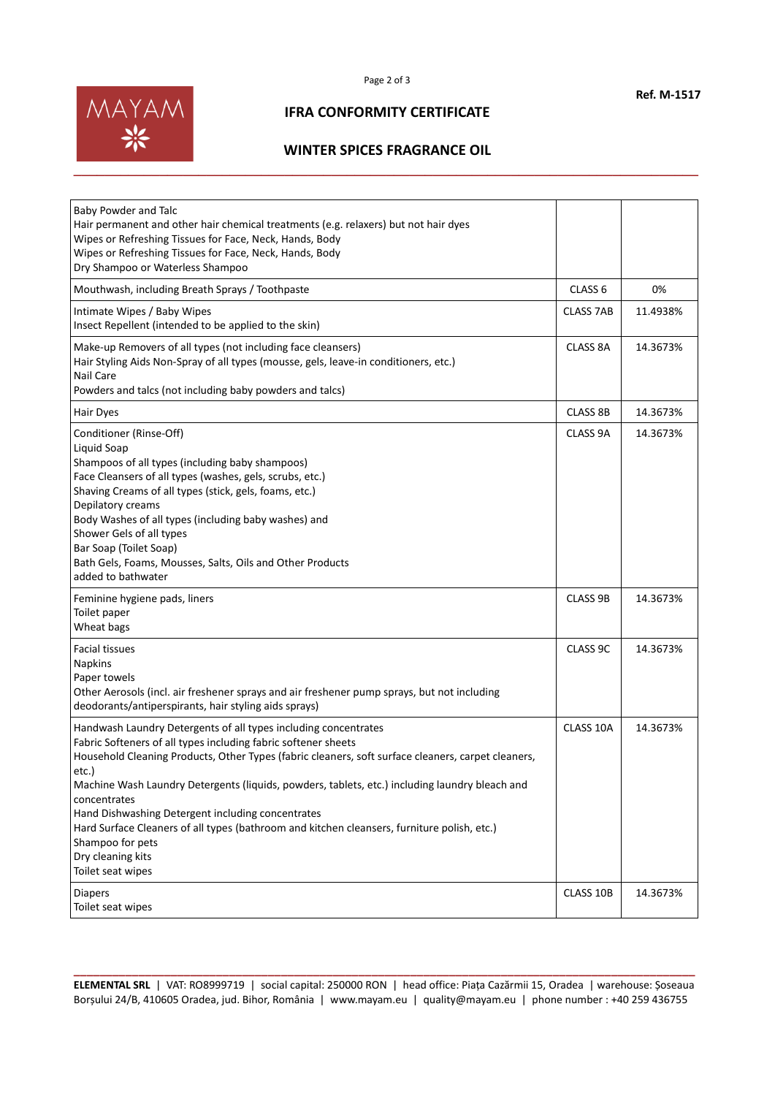

## **IFRA CONFORMITY CERTIFICATE**

### **WINTER SPICES FRAGRANCE OIL**

| Baby Powder and Talc<br>Hair permanent and other hair chemical treatments (e.g. relaxers) but not hair dyes<br>Wipes or Refreshing Tissues for Face, Neck, Hands, Body<br>Wipes or Refreshing Tissues for Face, Neck, Hands, Body<br>Dry Shampoo or Waterless Shampoo                                                                                                                                                                                                                                                                                                                |                    |          |
|--------------------------------------------------------------------------------------------------------------------------------------------------------------------------------------------------------------------------------------------------------------------------------------------------------------------------------------------------------------------------------------------------------------------------------------------------------------------------------------------------------------------------------------------------------------------------------------|--------------------|----------|
| Mouthwash, including Breath Sprays / Toothpaste                                                                                                                                                                                                                                                                                                                                                                                                                                                                                                                                      | CLASS <sub>6</sub> | 0%       |
| Intimate Wipes / Baby Wipes<br>Insect Repellent (intended to be applied to the skin)                                                                                                                                                                                                                                                                                                                                                                                                                                                                                                 | <b>CLASS 7AB</b>   | 11.4938% |
| Make-up Removers of all types (not including face cleansers)<br>Hair Styling Aids Non-Spray of all types (mousse, gels, leave-in conditioners, etc.)<br>Nail Care<br>Powders and talcs (not including baby powders and talcs)                                                                                                                                                                                                                                                                                                                                                        | CLASS 8A           | 14.3673% |
| Hair Dyes                                                                                                                                                                                                                                                                                                                                                                                                                                                                                                                                                                            | <b>CLASS 8B</b>    | 14.3673% |
| Conditioner (Rinse-Off)<br>Liquid Soap<br>Shampoos of all types (including baby shampoos)<br>Face Cleansers of all types (washes, gels, scrubs, etc.)<br>Shaving Creams of all types (stick, gels, foams, etc.)<br>Depilatory creams<br>Body Washes of all types (including baby washes) and<br>Shower Gels of all types<br>Bar Soap (Toilet Soap)<br>Bath Gels, Foams, Mousses, Salts, Oils and Other Products<br>added to bathwater                                                                                                                                                | CLASS 9A           | 14.3673% |
| Feminine hygiene pads, liners<br>Toilet paper<br>Wheat bags                                                                                                                                                                                                                                                                                                                                                                                                                                                                                                                          | <b>CLASS 9B</b>    | 14.3673% |
| <b>Facial tissues</b><br>Napkins<br>Paper towels<br>Other Aerosols (incl. air freshener sprays and air freshener pump sprays, but not including<br>deodorants/antiperspirants, hair styling aids sprays)                                                                                                                                                                                                                                                                                                                                                                             | CLASS 9C           | 14.3673% |
| Handwash Laundry Detergents of all types including concentrates<br>Fabric Softeners of all types including fabric softener sheets<br>Household Cleaning Products, Other Types (fabric cleaners, soft surface cleaners, carpet cleaners,<br>etc.)<br>Machine Wash Laundry Detergents (liquids, powders, tablets, etc.) including laundry bleach and<br>concentrates<br>Hand Dishwashing Detergent including concentrates<br>Hard Surface Cleaners of all types (bathroom and kitchen cleansers, furniture polish, etc.)<br>Shampoo for pets<br>Dry cleaning kits<br>Toilet seat wipes | CLASS 10A          | 14.3673% |
| <b>Diapers</b><br>Toilet seat wipes                                                                                                                                                                                                                                                                                                                                                                                                                                                                                                                                                  | CLASS 10B          | 14.3673% |

**\_\_\_\_\_\_\_\_\_\_\_\_\_\_\_\_\_\_\_\_\_\_\_\_\_\_\_\_\_\_\_\_\_\_\_\_\_\_\_\_\_\_\_\_\_\_\_\_\_\_\_\_\_\_\_\_\_\_\_\_\_\_\_\_\_\_\_\_\_\_\_\_\_\_\_\_\_\_\_\_\_\_\_\_\_\_\_\_\_\_\_\_\_\_\_\_ ELEMENTAL SRL** | VAT: RO8999719 | social capital: 250000 RON | head office: Piața Cazărmii 15, Oradea | warehouse: Șoseaua Borșului 24/B, 410605 Oradea, jud. Bihor, România | www.mayam.eu | quality@mayam.eu | phone number : +40 259 436755